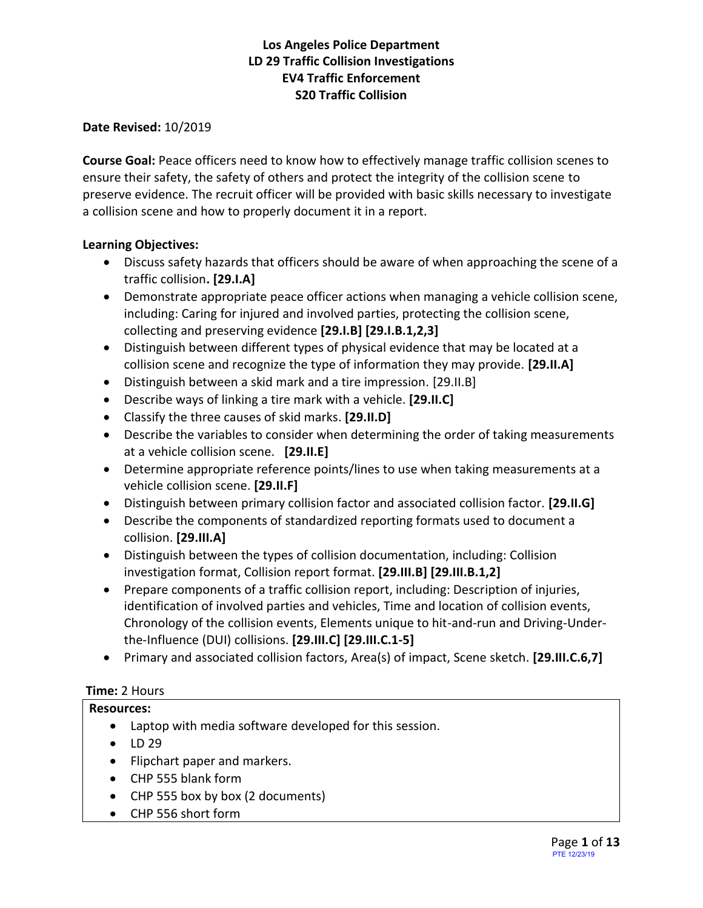**Date Revised:** 10/2019

**Course Goal:** Peace officers need to know how to effectively manage traffic collision scenes to ensure their safety, the safety of others and protect the integrity of the collision scene to preserve evidence. The recruit officer will be provided with basic skills necessary to investigate a collision scene and how to properly document it in a report.

#### **Learning Objectives:**

- Discuss safety hazards that officers should be aware of when approaching the scene of a traffic collision**. [29.I.A]**
- Demonstrate appropriate peace officer actions when managing a vehicle collision scene, including: Caring for injured and involved parties, protecting the collision scene, collecting and preserving evidence **[29.I.B] [29.I.B.1,2,3]**
- Distinguish between different types of physical evidence that may be located at a collision scene and recognize the type of information they may provide. **[29.II.A]**
- Distinguish between a skid mark and a tire impression. [29.II.B]
- Describe ways of linking a tire mark with a vehicle. **[29.II.C]**
- Classify the three causes of skid marks. **[29.II.D]**
- Describe the variables to consider when determining the order of taking measurements at a vehicle collision scene. **[29.II.E]**
- Determine appropriate reference points/lines to use when taking measurements at a vehicle collision scene. **[29.II.F]**
- Distinguish between primary collision factor and associated collision factor. **[29.II.G]**
- Describe the components of standardized reporting formats used to document a collision. **[29.III.A]**
- Distinguish between the types of collision documentation, including: Collision investigation format, Collision report format. **[29.III.B] [29.III.B.1,2]**
- Prepare components of a traffic collision report, including: Description of injuries, identification of involved parties and vehicles, Time and location of collision events, Chronology of the collision events, Elements unique to hit-and-run and Driving-Underthe-Influence (DUI) collisions. **[29.III.C] [29.III.C.1-5]**
- Primary and associated collision factors, Area(s) of impact, Scene sketch. **[29.III.C.6,7]**

#### **Time:** 2 Hours

- **Resources:**
	- Laptop with media software developed for this session.
	- LD 29
	- Flipchart paper and markers.
	- CHP 555 blank form
	- CHP 555 box by box (2 documents)
	- CHP 556 short form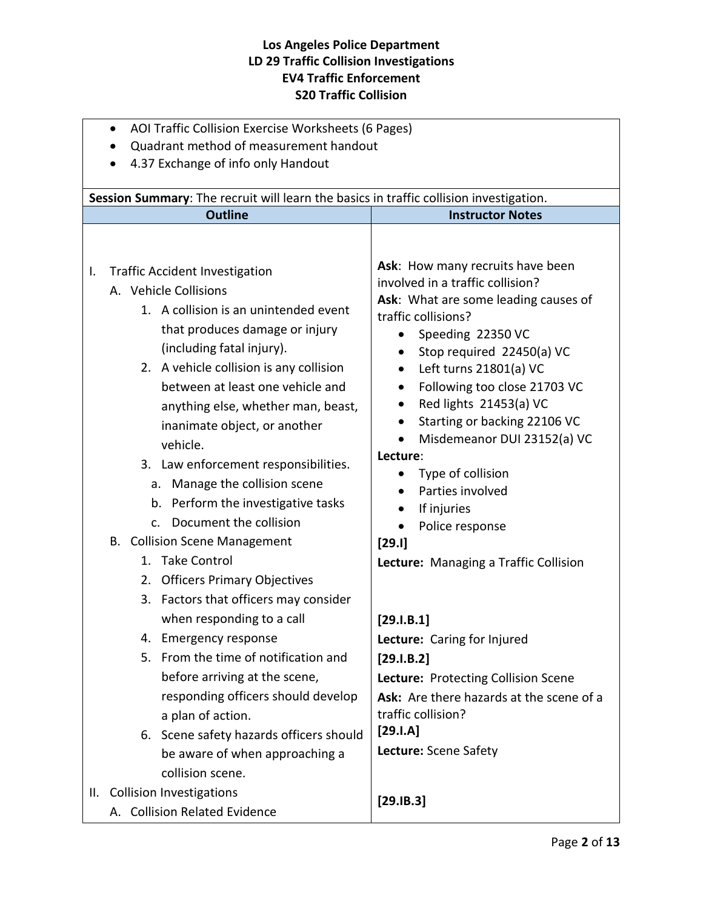|                                                                                        | AOI Traffic Collision Exercise Worksheets (6 Pages)<br>$\bullet$                                                                                                                                                                                                                                                                                                                                                                                                                                                                                                                                                                                                                                                                                                                                                                                                                                                                               |                                                                                                                                                                                                                                                                                                                                                                                                                                                                                                                                                                                                                                                                                                                                                         |  |  |  |  |  |
|----------------------------------------------------------------------------------------|------------------------------------------------------------------------------------------------------------------------------------------------------------------------------------------------------------------------------------------------------------------------------------------------------------------------------------------------------------------------------------------------------------------------------------------------------------------------------------------------------------------------------------------------------------------------------------------------------------------------------------------------------------------------------------------------------------------------------------------------------------------------------------------------------------------------------------------------------------------------------------------------------------------------------------------------|---------------------------------------------------------------------------------------------------------------------------------------------------------------------------------------------------------------------------------------------------------------------------------------------------------------------------------------------------------------------------------------------------------------------------------------------------------------------------------------------------------------------------------------------------------------------------------------------------------------------------------------------------------------------------------------------------------------------------------------------------------|--|--|--|--|--|
|                                                                                        | Quadrant method of measurement handout                                                                                                                                                                                                                                                                                                                                                                                                                                                                                                                                                                                                                                                                                                                                                                                                                                                                                                         |                                                                                                                                                                                                                                                                                                                                                                                                                                                                                                                                                                                                                                                                                                                                                         |  |  |  |  |  |
|                                                                                        | 4.37 Exchange of info only Handout                                                                                                                                                                                                                                                                                                                                                                                                                                                                                                                                                                                                                                                                                                                                                                                                                                                                                                             |                                                                                                                                                                                                                                                                                                                                                                                                                                                                                                                                                                                                                                                                                                                                                         |  |  |  |  |  |
| Session Summary: The recruit will learn the basics in traffic collision investigation. |                                                                                                                                                                                                                                                                                                                                                                                                                                                                                                                                                                                                                                                                                                                                                                                                                                                                                                                                                |                                                                                                                                                                                                                                                                                                                                                                                                                                                                                                                                                                                                                                                                                                                                                         |  |  |  |  |  |
|                                                                                        |                                                                                                                                                                                                                                                                                                                                                                                                                                                                                                                                                                                                                                                                                                                                                                                                                                                                                                                                                |                                                                                                                                                                                                                                                                                                                                                                                                                                                                                                                                                                                                                                                                                                                                                         |  |  |  |  |  |
| I.                                                                                     | <b>Outline</b><br><b>Traffic Accident Investigation</b><br>A. Vehicle Collisions<br>1. A collision is an unintended event<br>that produces damage or injury<br>(including fatal injury).<br>2. A vehicle collision is any collision<br>between at least one vehicle and<br>anything else, whether man, beast,<br>inanimate object, or another<br>vehicle.<br>3. Law enforcement responsibilities.<br>a. Manage the collision scene<br>b. Perform the investigative tasks<br>Document the collision<br>$\mathsf{C}$ .<br><b>B.</b> Collision Scene Management<br><b>Take Control</b><br>1.<br>2. Officers Primary Objectives<br>3. Factors that officers may consider<br>when responding to a call<br>Emergency response<br>4.<br>5. From the time of notification and<br>before arriving at the scene,<br>responding officers should develop<br>a plan of action.<br>6. Scene safety hazards officers should<br>be aware of when approaching a | <b>Instructor Notes</b><br>Ask: How many recruits have been<br>involved in a traffic collision?<br>Ask: What are some leading causes of<br>traffic collisions?<br>Speeding 22350 VC<br>Stop required 22450(a) VC<br>$\bullet$<br>Left turns 21801(a) VC<br>٠<br>Following too close 21703 VC<br>Red lights 21453(a) VC<br>Starting or backing 22106 VC<br>$\bullet$<br>Misdemeanor DUI 23152(a) VC<br>Lecture:<br>Type of collision<br>Parties involved<br>If injuries<br>Police response<br>[29.1]<br>Lecture: Managing a Traffic Collision<br>[29.1.B.1]<br>Lecture: Caring for Injured<br>[29.1.B.2]<br>Lecture: Protecting Collision Scene<br>Ask: Are there hazards at the scene of a<br>traffic collision?<br>$[29.1.A]$<br>Lecture: Scene Safety |  |  |  |  |  |
|                                                                                        | collision scene.<br>II. Collision Investigations                                                                                                                                                                                                                                                                                                                                                                                                                                                                                                                                                                                                                                                                                                                                                                                                                                                                                               | [29.1B.3]                                                                                                                                                                                                                                                                                                                                                                                                                                                                                                                                                                                                                                                                                                                                               |  |  |  |  |  |
|                                                                                        | A. Collision Related Evidence                                                                                                                                                                                                                                                                                                                                                                                                                                                                                                                                                                                                                                                                                                                                                                                                                                                                                                                  |                                                                                                                                                                                                                                                                                                                                                                                                                                                                                                                                                                                                                                                                                                                                                         |  |  |  |  |  |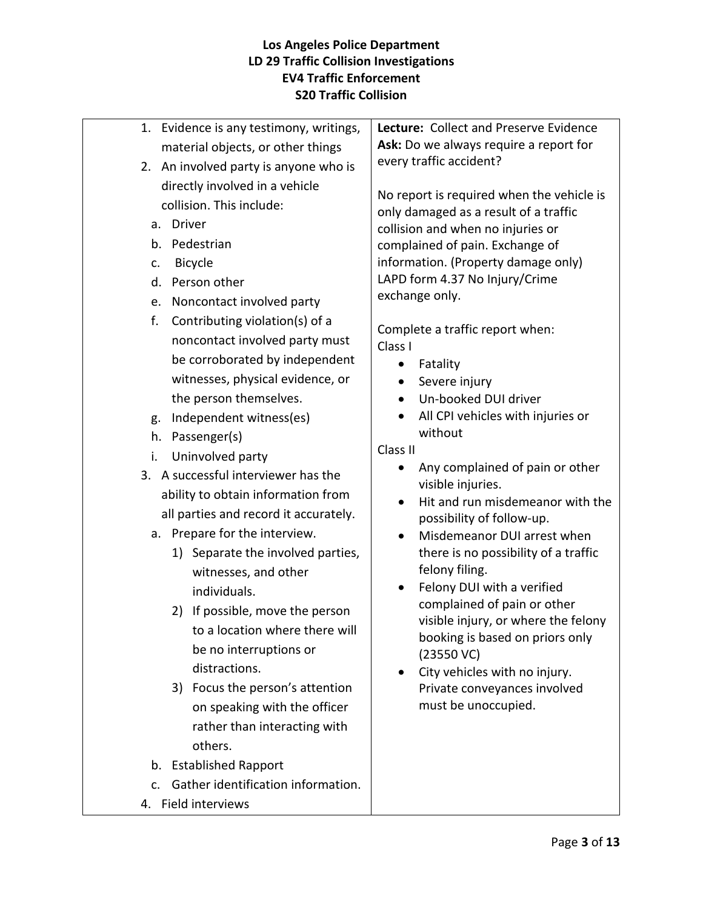| 1. Evidence is any testimony, writings,                 | Lecture: Collect and Preserve Evidence                    |
|---------------------------------------------------------|-----------------------------------------------------------|
| material objects, or other things                       | Ask: Do we always require a report for                    |
| 2. An involved party is anyone who is                   | every traffic accident?                                   |
| directly involved in a vehicle                          | No report is required when the vehicle is                 |
| collision. This include:                                | only damaged as a result of a traffic                     |
| a. Driver                                               | collision and when no injuries or                         |
| b. Pedestrian                                           | complained of pain. Exchange of                           |
| Bicycle<br>c.                                           | information. (Property damage only)                       |
| d. Person other                                         | LAPD form 4.37 No Injury/Crime                            |
| e. Noncontact involved party                            | exchange only.                                            |
| f.<br>Contributing violation(s) of a                    |                                                           |
| noncontact involved party must                          | Complete a traffic report when:                           |
| be corroborated by independent                          | Class I                                                   |
| witnesses, physical evidence, or                        | Fatality<br>$\bullet$<br>Severe injury                    |
| the person themselves.                                  | Un-booked DUI driver                                      |
| Independent witness(es)<br>g.                           | All CPI vehicles with injuries or                         |
| h. Passenger(s)                                         | without                                                   |
| i.                                                      | Class II                                                  |
| Uninvolved party<br>3. A successful interviewer has the | Any complained of pain or other                           |
|                                                         | visible injuries.                                         |
| ability to obtain information from                      | Hit and run misdemeanor with the                          |
| all parties and record it accurately.                   | possibility of follow-up.                                 |
| a. Prepare for the interview.                           | Misdemeanor DUI arrest when<br>$\bullet$                  |
| Separate the involved parties,<br>1)                    | there is no possibility of a traffic                      |
| witnesses, and other                                    | felony filing.                                            |
| individuals.                                            | Felony DUI with a verified<br>complained of pain or other |
| 2) If possible, move the person                         | visible injury, or where the felony                       |
| to a location where there will                          | booking is based on priors only                           |
| be no interruptions or                                  | $(23550 \, \text{VC})$                                    |
| distractions.                                           | City vehicles with no injury.<br>$\bullet$                |
| 3) Focus the person's attention                         | Private conveyances involved                              |
| on speaking with the officer                            | must be unoccupied.                                       |
| rather than interacting with                            |                                                           |
| others.                                                 |                                                           |
| b. Established Rapport                                  |                                                           |
| Gather identification information.<br>C.                |                                                           |
| 4. Field interviews                                     |                                                           |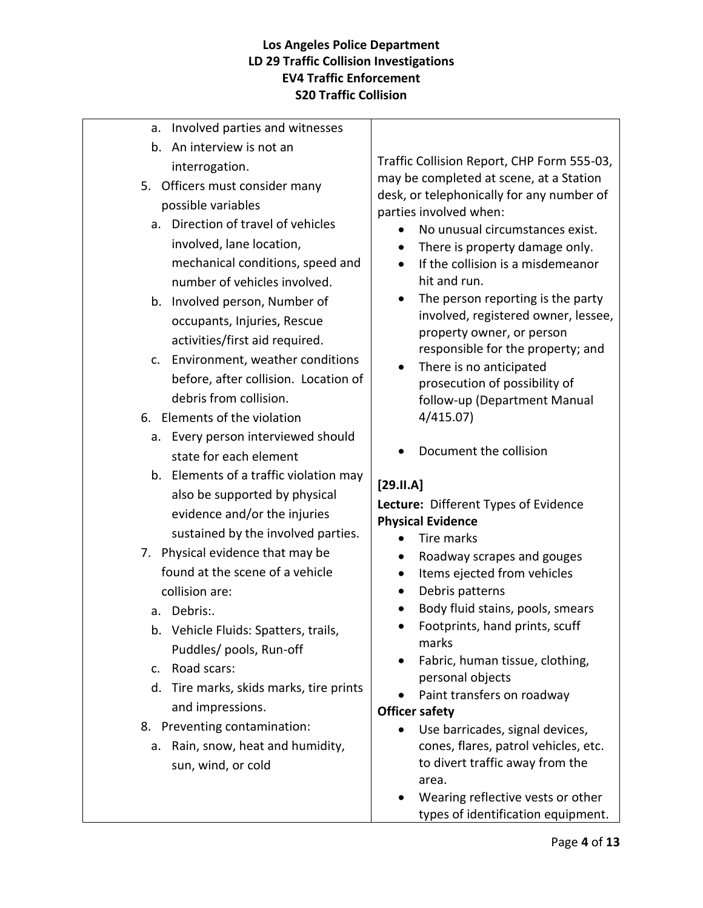- a. Involved parties and witnesses
- b. An interview is not an interrogation.
- 5. Officers must consider many possible variables
	- a. Direction of travel of vehicles involved, lane location, mechanical conditions, speed and number of vehicles involved.
	- b. Involved person, Number of occupants, Injuries, Rescue activities/first aid required.
	- c. Environment, weather conditions before, after collision. Location of debris from collision.
- 6. Elements of the violation
	- a. Every person interviewed should state for each element
	- b. Elements of a traffic violation may also be supported by physical evidence and/or the injuries sustained by the involved parties.
- 7. Physical evidence that may be found at the scene of a vehicle collision are:
	- a. Debris:.
	- b. Vehicle Fluids: Spatters, trails, Puddles/ pools, Run-off
	- c. Road scars:
	- d. Tire marks, skids marks, tire prints and impressions.
- 8. Preventing contamination:
	- a. Rain, snow, heat and humidity, sun, wind, or cold

Traffic Collision Report, CHP Form 555-03, may be completed at scene, at a Station desk, or telephonically for any number of parties involved when:

- No unusual circumstances exist.
- There is property damage only.
- If the collision is a misdemeanor hit and run.
- The person reporting is the party involved, registered owner, lessee, property owner, or person responsible for the property; and
- There is no anticipated prosecution of possibility of follow-up (Department Manual 4/415.07)
- Document the collision

# **[29.II.A]**

## **Lecture:** Different Types of Evidence **Physical Evidence**

- Tire marks
- Roadway scrapes and gouges
- Items ejected from vehicles
- Debris patterns
- Body fluid stains, pools, smears
- Footprints, hand prints, scuff marks
- Fabric, human tissue, clothing, personal objects
- Paint transfers on roadway

#### **Officer safety**

- Use barricades, signal devices, cones, flares, patrol vehicles, etc. to divert traffic away from the area.
- Wearing reflective vests or other types of identification equipment.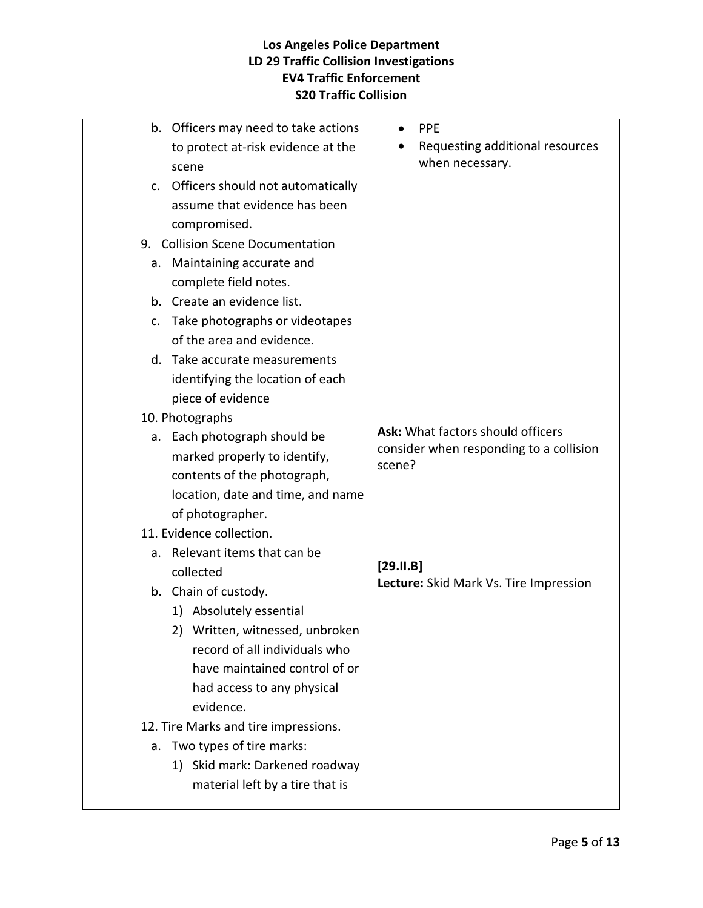|                | b. Officers may need to take actions | <b>PPE</b><br>$\bullet$                                                      |
|----------------|--------------------------------------|------------------------------------------------------------------------------|
|                | to protect at-risk evidence at the   | Requesting additional resources                                              |
|                | scene                                | when necessary.                                                              |
| $\mathsf{C}$ . | Officers should not automatically    |                                                                              |
|                | assume that evidence has been        |                                                                              |
|                | compromised.                         |                                                                              |
|                | 9. Collision Scene Documentation     |                                                                              |
| а.             | Maintaining accurate and             |                                                                              |
|                | complete field notes.                |                                                                              |
|                | b. Create an evidence list.          |                                                                              |
| c.             | Take photographs or videotapes       |                                                                              |
|                | of the area and evidence.            |                                                                              |
|                | d. Take accurate measurements        |                                                                              |
|                | identifying the location of each     |                                                                              |
|                | piece of evidence                    |                                                                              |
|                | 10. Photographs                      |                                                                              |
|                | a. Each photograph should be         | Ask: What factors should officers<br>consider when responding to a collision |
|                | marked properly to identify,         | scene?                                                                       |
|                | contents of the photograph,          |                                                                              |
|                | location, date and time, and name    |                                                                              |
|                | of photographer.                     |                                                                              |
|                | 11. Evidence collection.             |                                                                              |
| a.             | Relevant items that can be           |                                                                              |
|                | collected                            | [29.11.B]<br>Lecture: Skid Mark Vs. Tire Impression                          |
|                | b. Chain of custody.                 |                                                                              |
|                | 1) Absolutely essential              |                                                                              |
|                | Written, witnessed, unbroken<br>2)   |                                                                              |
|                | record of all individuals who        |                                                                              |
|                | have maintained control of or        |                                                                              |
|                | had access to any physical           |                                                                              |
|                | evidence.                            |                                                                              |
|                | 12. Tire Marks and tire impressions. |                                                                              |
| a.             | Two types of tire marks:             |                                                                              |
|                | 1) Skid mark: Darkened roadway       |                                                                              |
|                | material left by a tire that is      |                                                                              |
|                |                                      |                                                                              |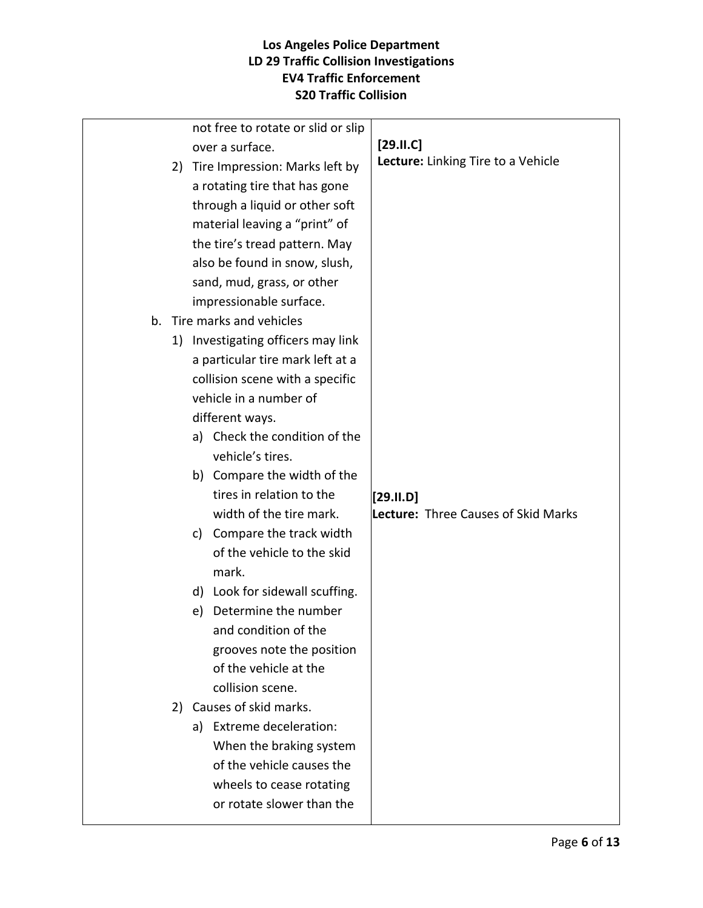|  |    | not free to rotate or slid or slip |                                            |
|--|----|------------------------------------|--------------------------------------------|
|  |    | over a surface.                    | $[29.11.C]$                                |
|  | 2) | Tire Impression: Marks left by     | Lecture: Linking Tire to a Vehicle         |
|  |    | a rotating tire that has gone      |                                            |
|  |    | through a liquid or other soft     |                                            |
|  |    | material leaving a "print" of      |                                            |
|  |    | the tire's tread pattern. May      |                                            |
|  |    | also be found in snow, slush,      |                                            |
|  |    | sand, mud, grass, or other         |                                            |
|  |    | impressionable surface.            |                                            |
|  |    | b. Tire marks and vehicles         |                                            |
|  |    | 1) Investigating officers may link |                                            |
|  |    | a particular tire mark left at a   |                                            |
|  |    | collision scene with a specific    |                                            |
|  |    | vehicle in a number of             |                                            |
|  |    | different ways.                    |                                            |
|  |    | a) Check the condition of the      |                                            |
|  |    | vehicle's tires.                   |                                            |
|  |    | b) Compare the width of the        |                                            |
|  |    | tires in relation to the           | $[29.11. D]$                               |
|  |    | width of the tire mark.            | <b>Lecture: Three Causes of Skid Marks</b> |
|  |    | Compare the track width<br>c)      |                                            |
|  |    | of the vehicle to the skid         |                                            |
|  |    | mark.                              |                                            |
|  |    | d) Look for sidewall scuffing.     |                                            |
|  |    | Determine the number<br>e)         |                                            |
|  |    | and condition of the               |                                            |
|  |    | grooves note the position          |                                            |
|  |    | of the vehicle at the              |                                            |
|  |    | collision scene.                   |                                            |
|  | 2) | Causes of skid marks.              |                                            |
|  |    | a) Extreme deceleration:           |                                            |
|  |    | When the braking system            |                                            |
|  |    | of the vehicle causes the          |                                            |
|  |    | wheels to cease rotating           |                                            |
|  |    | or rotate slower than the          |                                            |
|  |    |                                    |                                            |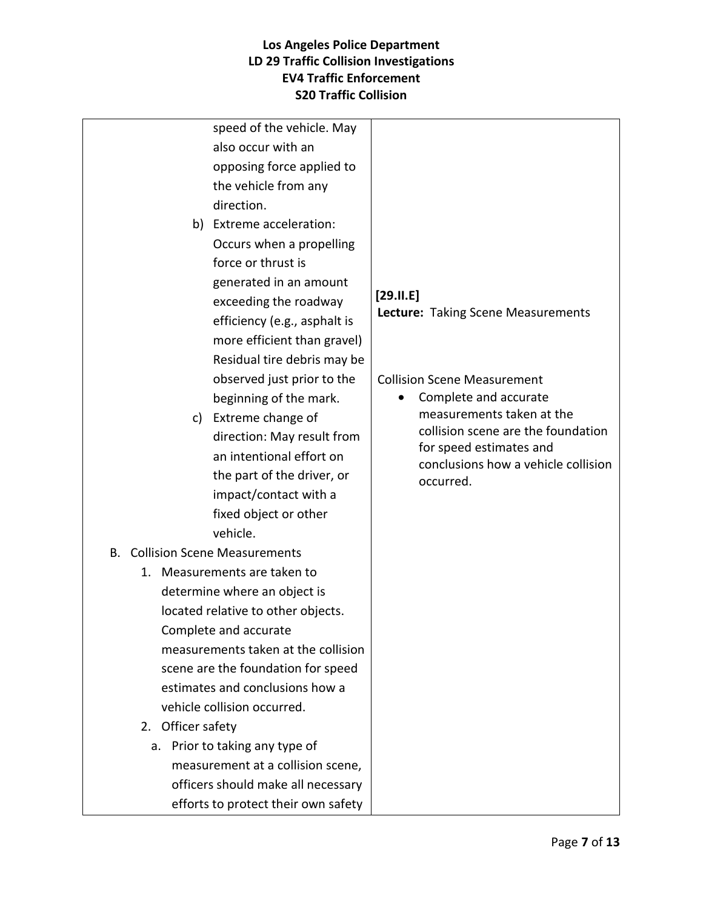| speed of the vehicle. May              |                                                                |
|----------------------------------------|----------------------------------------------------------------|
| also occur with an                     |                                                                |
| opposing force applied to              |                                                                |
| the vehicle from any                   |                                                                |
| direction.                             |                                                                |
| b) Extreme acceleration:               |                                                                |
| Occurs when a propelling               |                                                                |
| force or thrust is                     |                                                                |
| generated in an amount                 |                                                                |
| exceeding the roadway                  | $[29.11.E]$                                                    |
| efficiency (e.g., asphalt is           | <b>Lecture: Taking Scene Measurements</b>                      |
| more efficient than gravel)            |                                                                |
| Residual tire debris may be            |                                                                |
| observed just prior to the             | <b>Collision Scene Measurement</b>                             |
| beginning of the mark.                 | Complete and accurate                                          |
| c) Extreme change of                   | measurements taken at the                                      |
| direction: May result from             | collision scene are the foundation                             |
| an intentional effort on               | for speed estimates and<br>conclusions how a vehicle collision |
| the part of the driver, or             | occurred.                                                      |
| impact/contact with a                  |                                                                |
| fixed object or other                  |                                                                |
| vehicle.                               |                                                                |
| <b>B.</b> Collision Scene Measurements |                                                                |
| 1. Measurements are taken to           |                                                                |
| determine where an object is           |                                                                |
| located relative to other objects.     |                                                                |
| Complete and accurate                  |                                                                |
| measurements taken at the collision    |                                                                |
| scene are the foundation for speed     |                                                                |
| estimates and conclusions how a        |                                                                |
| vehicle collision occurred.            |                                                                |
| 2. Officer safety                      |                                                                |
| Prior to taking any type of<br>a.      |                                                                |
| measurement at a collision scene,      |                                                                |
| officers should make all necessary     |                                                                |
| efforts to protect their own safety    |                                                                |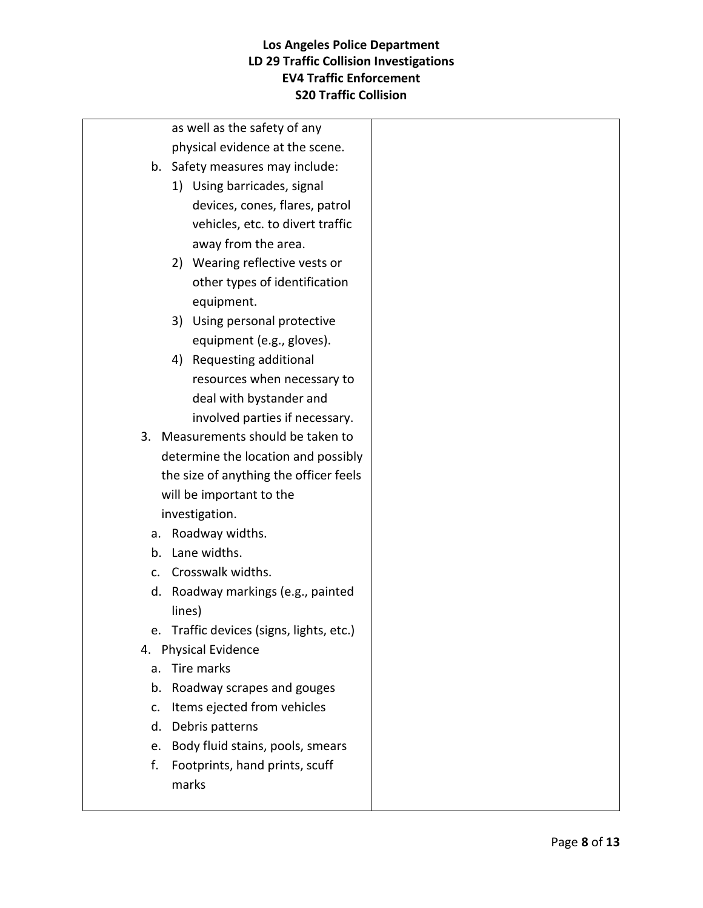| as well as the safety of any           |  |
|----------------------------------------|--|
| physical evidence at the scene.        |  |
| b. Safety measures may include:        |  |
| 1) Using barricades, signal            |  |
| devices, cones, flares, patrol         |  |
| vehicles, etc. to divert traffic       |  |
| away from the area.                    |  |
| 2) Wearing reflective vests or         |  |
| other types of identification          |  |
| equipment.                             |  |
| 3) Using personal protective           |  |
| equipment (e.g., gloves).              |  |
| 4) Requesting additional               |  |
| resources when necessary to            |  |
| deal with bystander and                |  |
| involved parties if necessary.         |  |
| 3. Measurements should be taken to     |  |
| determine the location and possibly    |  |
| the size of anything the officer feels |  |
| will be important to the               |  |
| investigation.                         |  |
| a. Roadway widths.                     |  |
| Lane widths.<br>b.                     |  |
| Crosswalk widths.<br>C.                |  |
| d. Roadway markings (e.g., painted     |  |
| lines)                                 |  |
| Traffic devices (signs, lights, etc.)  |  |
| 4. Physical Evidence                   |  |
| Tire marks<br>a.                       |  |
| Roadway scrapes and gouges<br>b.       |  |
| Items ejected from vehicles<br>c.      |  |
| Debris patterns<br>d.                  |  |
| Body fluid stains, pools, smears<br>e. |  |
| f.<br>Footprints, hand prints, scuff   |  |
| marks                                  |  |
|                                        |  |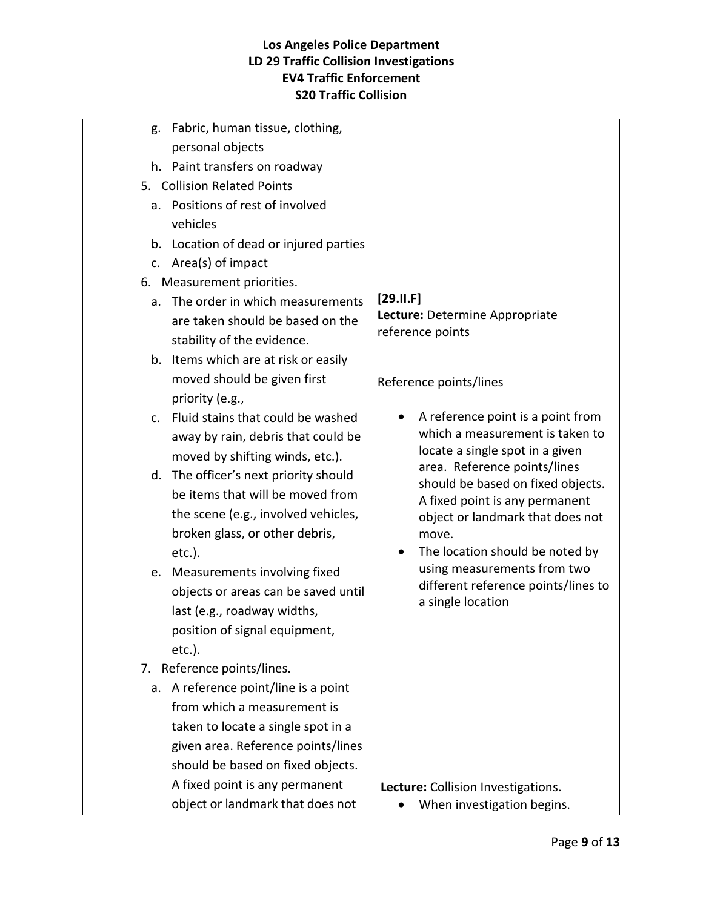| $[29.11.F]$                                                         |
|---------------------------------------------------------------------|
| Lecture: Determine Appropriate                                      |
| reference points                                                    |
|                                                                     |
| Reference points/lines                                              |
|                                                                     |
| A reference point is a point from                                   |
| which a measurement is taken to                                     |
| locate a single spot in a given                                     |
| area. Reference points/lines                                        |
| should be based on fixed objects.<br>A fixed point is any permanent |
| object or landmark that does not                                    |
| move.                                                               |
| The location should be noted by                                     |
| using measurements from two                                         |
| different reference points/lines to                                 |
| a single location                                                   |
|                                                                     |
|                                                                     |
|                                                                     |
|                                                                     |
|                                                                     |
|                                                                     |
|                                                                     |
|                                                                     |
| Lecture: Collision Investigations.                                  |
| When investigation begins.                                          |
|                                                                     |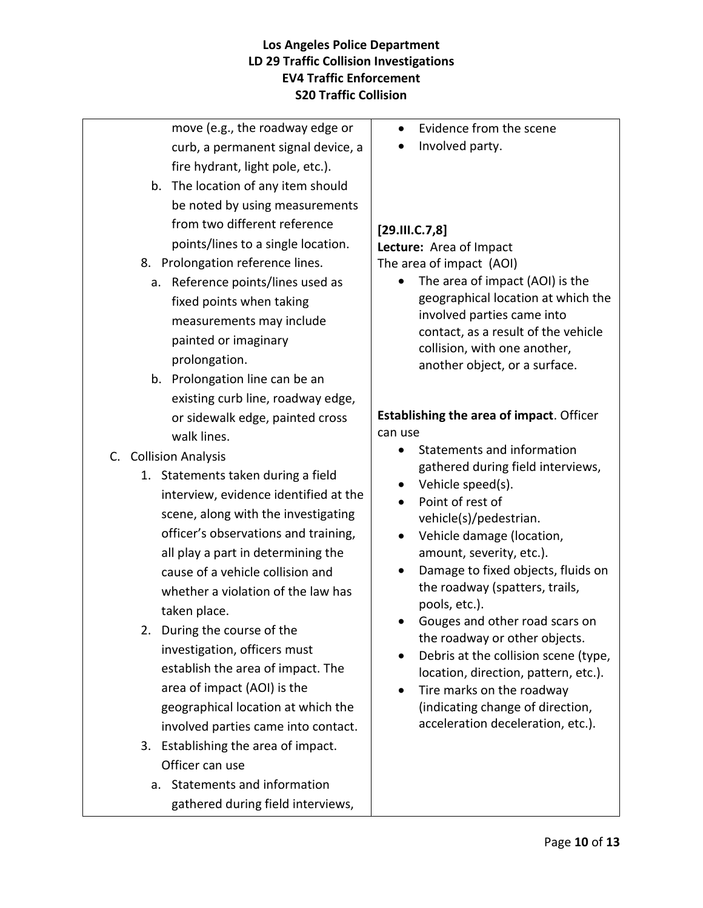move (e.g., the roadway edge or curb, a permanent signal device, a fire hydrant, light pole, etc.).

- b. The location of any item should be noted by using measurements from two different reference points/lines to a single location.
- 8. Prolongation reference lines.
	- a. Reference points/lines used as fixed points when taking measurements may include painted or imaginary prolongation.
	- b. Prolongation line can be an existing curb line, roadway edge, or sidewalk edge, painted cross walk lines.
- C. Collision Analysis
	- 1. Statements taken during a field interview, evidence identified at the scene, along with the investigating officer's observations and training, all play a part in determining the cause of a vehicle collision and whether a violation of the law has taken place.
	- 2. During the course of the investigation, officers must establish the area of impact. The area of impact (AOI) is the geographical location at which the involved parties came into contact.
	- 3. Establishing the area of impact. Officer can use
		- a. Statements and information gathered during field interviews,
- Evidence from the scene
- Involved party.

## **[29.III.C.7,8]**

**Lecture:** Area of Impact The area of impact (AOI)

• The area of impact (AOI) is the geographical location at which the involved parties came into contact, as a result of the vehicle collision, with one another, another object, or a surface.

## **Establishing the area of impact**. Officer can use

- Statements and information gathered during field interviews,
- Vehicle speed(s).
- Point of rest of vehicle(s)/pedestrian.
- Vehicle damage (location, amount, severity, etc.).
- Damage to fixed objects, fluids on the roadway (spatters, trails, pools, etc.).
- Gouges and other road scars on the roadway or other objects.
- Debris at the collision scene (type, location, direction, pattern, etc.).
- Tire marks on the roadway (indicating change of direction, acceleration deceleration, etc.).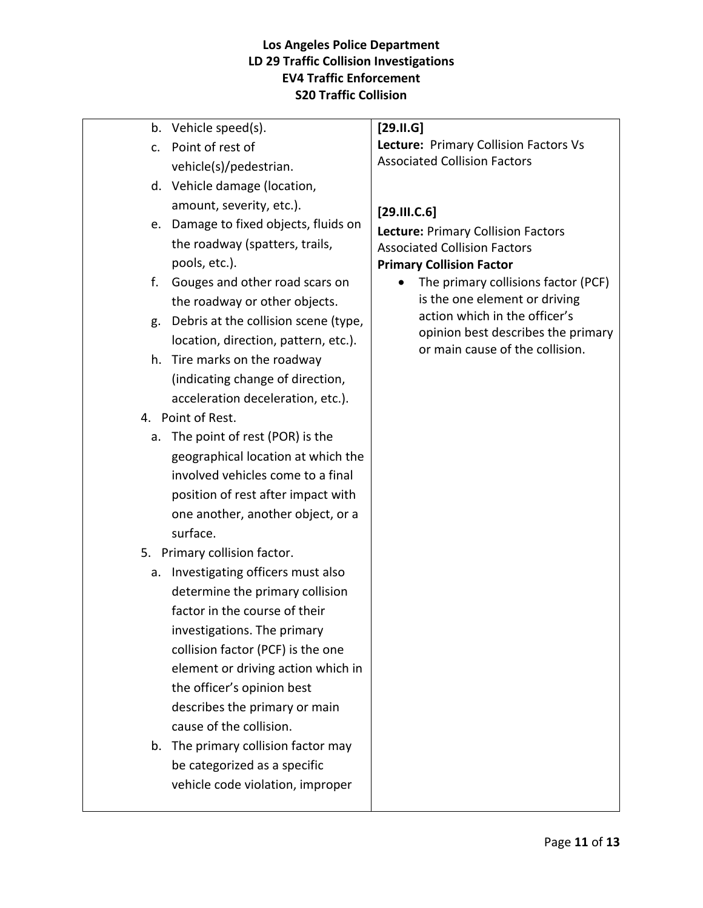| b.            | Vehicle speed(s).                     | [29.11.6]                                 |
|---------------|---------------------------------------|-------------------------------------------|
| $C_{\bullet}$ | Point of rest of                      | Lecture: Primary Collision Factors Vs     |
|               | vehicle(s)/pedestrian.                | <b>Associated Collision Factors</b>       |
|               | d. Vehicle damage (location,          |                                           |
|               | amount, severity, etc.).              | [29.111.C.6]                              |
|               | e. Damage to fixed objects, fluids on | <b>Lecture: Primary Collision Factors</b> |
|               | the roadway (spatters, trails,        | <b>Associated Collision Factors</b>       |
|               | pools, etc.).                         | <b>Primary Collision Factor</b>           |
| f.            | Gouges and other road scars on        | The primary collisions factor (PCF)       |
|               | the roadway or other objects.         | is the one element or driving             |
| g.            | Debris at the collision scene (type,  | action which in the officer's             |
|               | location, direction, pattern, etc.).  | opinion best describes the primary        |
| h.            | Tire marks on the roadway             | or main cause of the collision.           |
|               | (indicating change of direction,      |                                           |
|               | acceleration deceleration, etc.).     |                                           |
|               | 4. Point of Rest.                     |                                           |
| a.            | The point of rest (POR) is the        |                                           |
|               | geographical location at which the    |                                           |
|               | involved vehicles come to a final     |                                           |
|               | position of rest after impact with    |                                           |
|               | one another, another object, or a     |                                           |
|               | surface.                              |                                           |
|               | 5. Primary collision factor.          |                                           |
| a.            | Investigating officers must also      |                                           |
|               | determine the primary collision       |                                           |
|               | factor in the course of their         |                                           |
|               | investigations. The primary           |                                           |
|               | collision factor (PCF) is the one     |                                           |
|               | element or driving action which in    |                                           |
|               | the officer's opinion best            |                                           |
|               | describes the primary or main         |                                           |
|               | cause of the collision.               |                                           |
| b.            | The primary collision factor may      |                                           |
|               | be categorized as a specific          |                                           |
|               | vehicle code violation, improper      |                                           |
|               |                                       |                                           |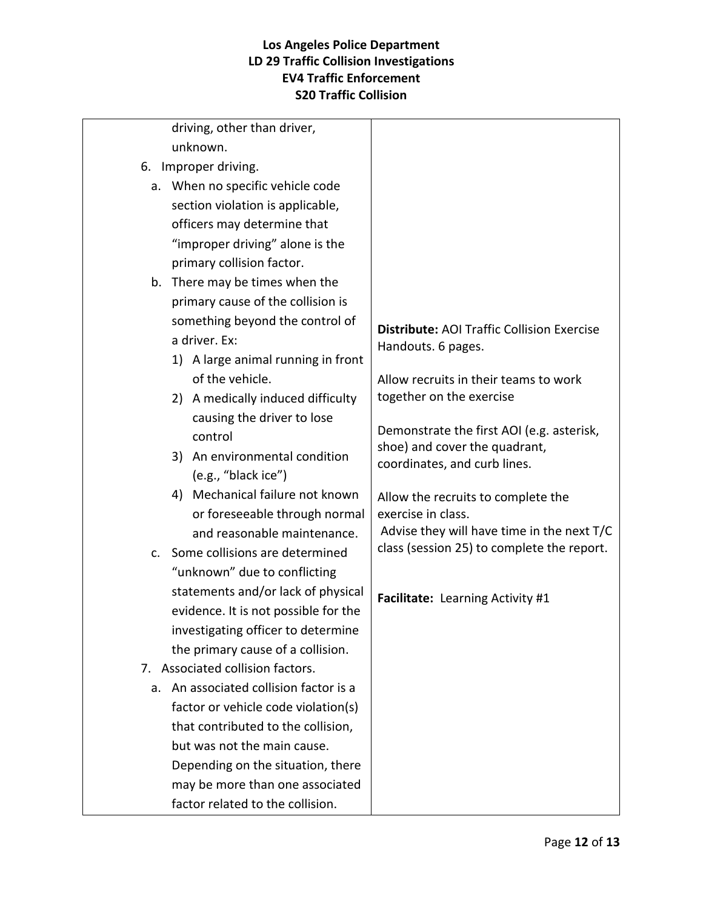| <b>Distribute: AOI Traffic Collision Exercise</b> |
|---------------------------------------------------|
| Handouts. 6 pages.                                |
|                                                   |
| Allow recruits in their teams to work             |
| together on the exercise                          |
|                                                   |
| Demonstrate the first AOI (e.g. asterisk,         |
| shoe) and cover the quadrant,                     |
| coordinates, and curb lines.                      |
| Allow the recruits to complete the                |
| exercise in class.                                |
| Advise they will have time in the next T/C        |
| class (session 25) to complete the report.        |
|                                                   |
|                                                   |
| Facilitate: Learning Activity #1                  |
|                                                   |
|                                                   |
|                                                   |
|                                                   |
|                                                   |
|                                                   |
|                                                   |
|                                                   |
|                                                   |
|                                                   |
|                                                   |